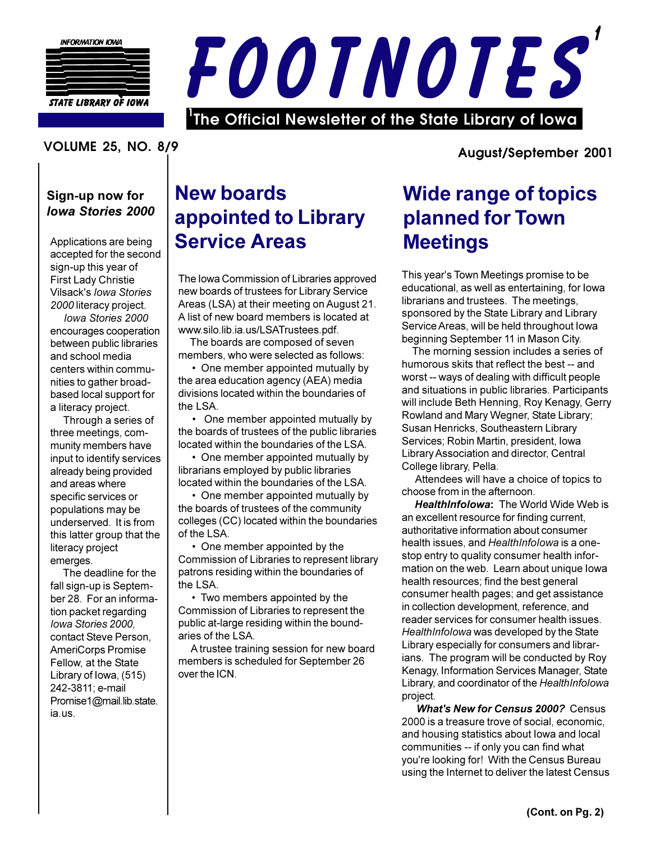



#### **VOLUME 25. NO. 8/9**

#### **August/September 2001**

#### Sign-up now for **Iowa Stories 2000**

Applications are being accepted for the second sign-up this year of First Lady Christie Vilsack's lowa Stories 2000 literacy project.

Iowa Stories 2000 encourages cooperation between public libraries and school media centers within communities to gather broadbased local support for a literacy project.

Through a series of three meetings, community members have input to identify services already being provided and areas where specific services or populations may be underserved. It is from this latter group that the literacy project emerges.

The deadline for the fall sign-up is September 28. For an information packet regarding Iowa Stories 2000, contact Steve Person. AmeriCorps Promise Fellow, at the State Library of Iowa, (515) 242-3811; e-mail Promise1@mail.lib.state. ia.us.

## **New boards** appointed to Library **Service Areas**

The Iowa Commission of Libraries approved new boards of trustees for Library Service Areas (LSA) at their meeting on August 21. A list of new board members is located at www.silo.lib.ia.us/LSATrustees.pdf.

The boards are composed of seven members, who were selected as follows:

• One member appointed mutually by the area education agency (AEA) media divisions located within the boundaries of the LSA.

• One member appointed mutually by the boards of trustees of the public libraries located within the boundaries of the LSA.

• One member appointed mutually by librarians employed by public libraries located within the boundaries of the LSA.

• One member appointed mutually by the boards of trustees of the community colleges (CC) located within the boundaries of the LSA.

• One member appointed by the Commission of Libraries to represent library patrons residing within the boundaries of the LSA.

• Two members appointed by the Commission of Libraries to represent the public at-large residing within the boundaries of the LSA.

A trustee training session for new board members is scheduled for September 26 over the ICN.

## **Wide range of topics** planned for Town **Meetings**

This year's Town Meetings promise to be educational, as well as entertaining, for lowa librarians and trustees. The meetings, sponsored by the State Library and Library Service Areas, will be held throughout lowa beginning September 11 in Mason City.

The morning session includes a series of humorous skits that reflect the best -- and worst -- ways of dealing with difficult people and situations in public libraries. Participants will include Beth Henning, Roy Kenagy, Gerry Rowland and Mary Wegner, State Library; Susan Henricks, Southeastern Library Services; Robin Martin, president, Iowa Library Association and director, Central College library, Pella.

Attendees will have a choice of topics to choose from in the afternoon.

**HealthInfolowa: The World Wide Web is** an excellent resource for finding current, authoritative information about consumer health issues, and HealthInfolowa is a onestop entry to quality consumer health information on the web. Learn about unique lowa health resources; find the best general consumer health pages; and get assistance in collection development, reference, and reader services for consumer health issues. HealthInfolowa was developed by the State Library especially for consumers and librarians. The program will be conducted by Roy Kenagy, Information Services Manager, State Library, and coordinator of the HealthInfolowa project.

**What's New for Census 2000?** Census 2000 is a treasure trove of social, economic, and housing statistics about lowa and local communities -- if only you can find what you're looking for! With the Census Bureau using the Internet to deliver the latest Census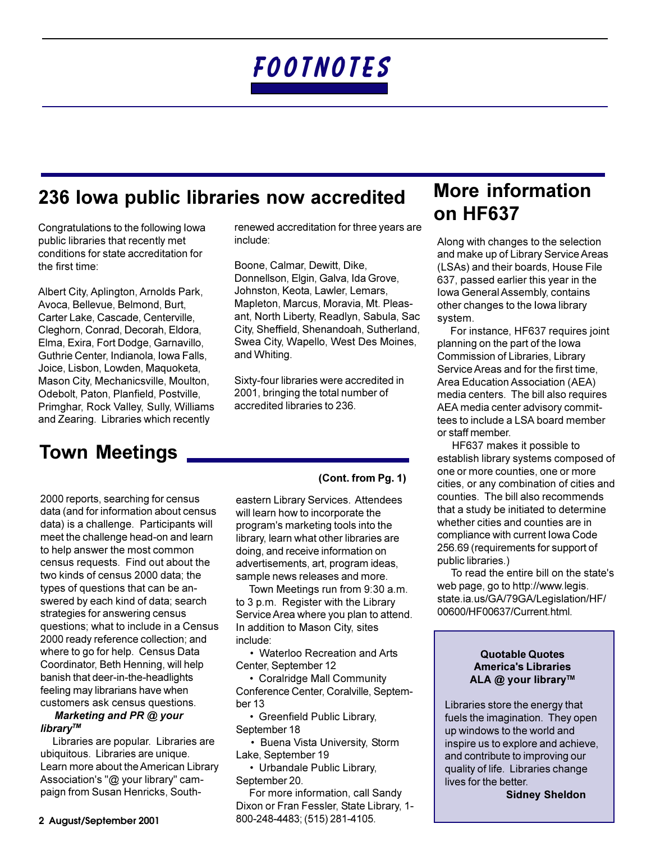# FOOTNOTES

#### 236 Iowa public libraries now accredited

Congratulations to the following lowa public libraries that recently met conditions for state accreditation for the first time:

Albert City, Aplington, Arnolds Park, Avoca, Bellevue, Belmond, Burt, Carter Lake, Cascade, Centerville, Cleghorn, Conrad, Decorah, Eldora, Elma, Exira, Fort Dodge, Garnavillo, Guthrie Center, Indianola, Iowa Falls, Joice, Lisbon, Lowden, Maquoketa, Mason City, Mechanicsville, Moulton, Odebolt, Paton, Planfield, Postville, Primghar, Rock Valley, Sully, Williams and Zearing. Libraries which recently

## **Town Meetings**

2000 reports, searching for census data (and for information about census data) is a challenge. Participants will meet the challenge head-on and learn to help answer the most common census requests. Find out about the two kinds of census 2000 data: the types of questions that can be answered by each kind of data; search strategies for answering census questions; what to include in a Census 2000 ready reference collection; and where to go for help. Census Data Coordinator, Beth Henning, will help banish that deer-in-the-headlights feeling may librarians have when customers ask census questions.

#### Marketing and PR @ your library™

Libraries are popular. Libraries are ubiquitous. Libraries are unique. Learn more about the American Library Association's "@ your library" campaign from Susan Henricks, Southrenewed accreditation for three years are include:

Boone, Calmar, Dewitt, Dike, Donnellson, Elgin, Galva, Ida Grove, Johnston, Keota, Lawler, Lemars, Mapleton, Marcus, Moravia, Mt. Pleasant, North Liberty, Readlyn, Sabula, Sac City, Sheffield, Shenandoah, Sutherland, Swea City, Wapello, West Des Moines, and Whiting.

Sixty-four libraries were accredited in 2001, bringing the total number of accredited libraries to 236.

#### (Cont. from Pg. 1)

eastern Library Services. Attendees will learn how to incorporate the program's marketing tools into the library, learn what other libraries are doing, and receive information on advertisements, art, program ideas, sample news releases and more.

Town Meetings run from 9:30 a.m. to 3 p.m. Register with the Library Service Area where you plan to attend. In addition to Mason City, sites include:

• Waterloo Recreation and Arts Center, September 12

• Coralridge Mall Community Conference Center, Coralville, September 13

• Greenfield Public Library, September 18

• Buena Vista University, Storm Lake, September 19

• Urbandale Public Library, September 20.

For more information, call Sandy Dixon or Fran Fessler, State Library, 1-800-248-4483; (515) 281-4105.

### **More information** on HF637

Along with changes to the selection and make up of Library Service Areas (LSAs) and their boards, House File 637, passed earlier this year in the Iowa General Assembly, contains other changes to the lowa library system.

For instance, HF637 requires joint planning on the part of the lowa Commission of Libraries, Library Service Areas and for the first time, Area Education Association (AEA) media centers. The bill also requires AEA media center advisory committees to include a LSA board member or staff member.

HF637 makes it possible to establish library systems composed of one or more counties, one or more cities, or any combination of cities and counties. The bill also recommends that a study be initiated to determine whether cities and counties are in compliance with current Iowa Code 256.69 (requirements for support of public libraries.)

To read the entire bill on the state's web page, go to http://www.legis. state.ia.us/GA/79GA/Legislation/HF/ 00600/HF00637/Current.html.

#### **Quotable Quotes America's Libraries** ALA @ your library™

Libraries store the energy that fuels the imagination. They open up windows to the world and inspire us to explore and achieve, and contribute to improving our quality of life. Libraries change lives for the better.

**Sidney Sheldon**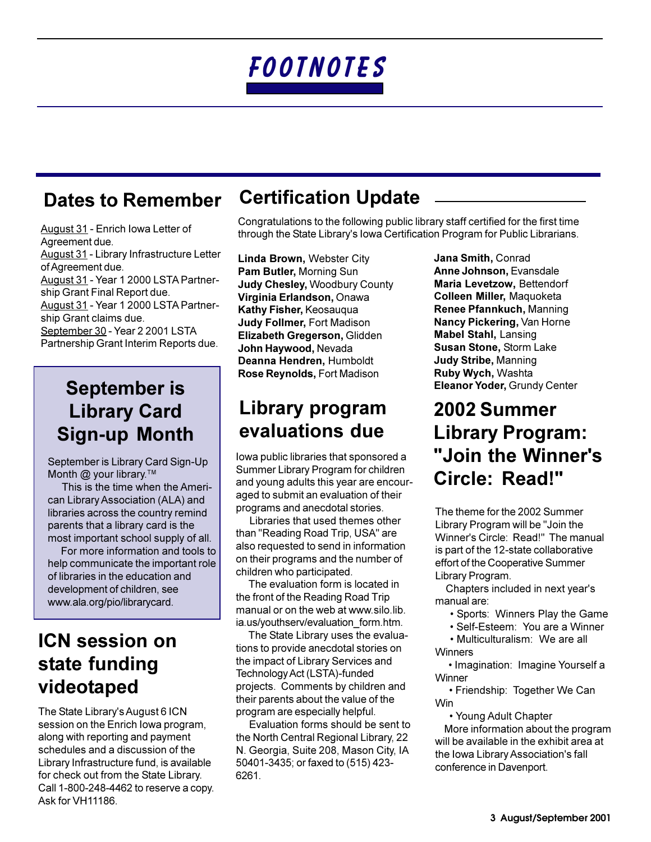# FOOTNOTES

#### **Dates to Remember**

August 31 - Enrich Iowa Letter of Agreement due. August 31 - Library Infrastructure Letter of Agreement due. August 31 - Year 1 2000 LSTA Partnership Grant Final Report due. August 31 - Year 1 2000 LSTA Partnership Grant claims due. September 30 - Year 2 2001 LSTA Partnership Grant Interim Reports due.

## **September is Library Card Sign-up Month**

September is Library Card Sign-Up Month  $@$  your library.<sup>TM</sup>

This is the time when the American Library Association (ALA) and libraries across the country remind parents that a library card is the most important school supply of all.

For more information and tools to help communicate the important role of libraries in the education and development of children, see www.ala.org/pio/librarycard.

### **ICN session on** state funding videotaped

The State Library's August 6 ICN session on the Enrich Iowa program, along with reporting and payment schedules and a discussion of the Library Infrastructure fund, is available for check out from the State Library. Call 1-800-248-4462 to reserve a copy. Ask for VH11186.

## **Certification Update**

Congratulations to the following public library staff certified for the first time through the State Library's Iowa Certification Program for Public Librarians.

Linda Brown, Webster City Pam Butler, Morning Sun **Judy Chesley, Woodbury County** Virginia Erlandson, Onawa Kathy Fisher, Keosauqua **Judy Follmer, Fort Madison** Elizabeth Gregerson, Glidden John Havwood, Nevada Deanna Hendren, Humboldt Rose Reynolds, Fort Madison

#### Library program evaluations due

lowa public libraries that sponsored a Summer Library Program for children and young adults this year are encouraged to submit an evaluation of their programs and anecdotal stories.

Libraries that used themes other than "Reading Road Trip, USA" are also requested to send in information on their programs and the number of children who participated.

The evaluation form is located in the front of the Reading Road Trip manual or on the web at www.silo.lib. ia.us/youthserv/evaluation form.htm.

The State Library uses the evaluations to provide anecdotal stories on the impact of Library Services and Technology Act (LSTA)-funded projects. Comments by children and their parents about the value of the program are especially helpful.

Evaluation forms should be sent to the North Central Regional Library, 22 N. Georgia, Suite 208, Mason City, IA 50401-3435; or faxed to (515) 423-6261.

Jana Smith, Conrad Anne Johnson, Evansdale Maria Levetzow, Bettendorf Colleen Miller, Maguoketa Renee Pfannkuch, Manning Nancy Pickering, Van Horne **Mabel Stahl, Lansing** Susan Stone, Storm Lake **Judy Stribe, Manning** Ruby Wych, Washta Eleanor Yoder, Grundy Center

## **2002 Summer Library Program:** "Join the Winner's Circle: Read!"

The theme for the 2002 Summer Library Program will be "Join the Winner's Circle: Read!" The manual is part of the 12-state collaborative effort of the Cooperative Summer Library Program.

Chapters included in next year's manual are:

- · Sports: Winners Play the Game
- · Self-Esteem: You are a Winner

• Multiculturalism: We are all Winners

· Imagination: Imagine Yourself a Winner

• Friendship: Together We Can Win

• Young Adult Chapter More information about the program will be available in the exhibit area at the Iowa Library Association's fall conference in Davenport.